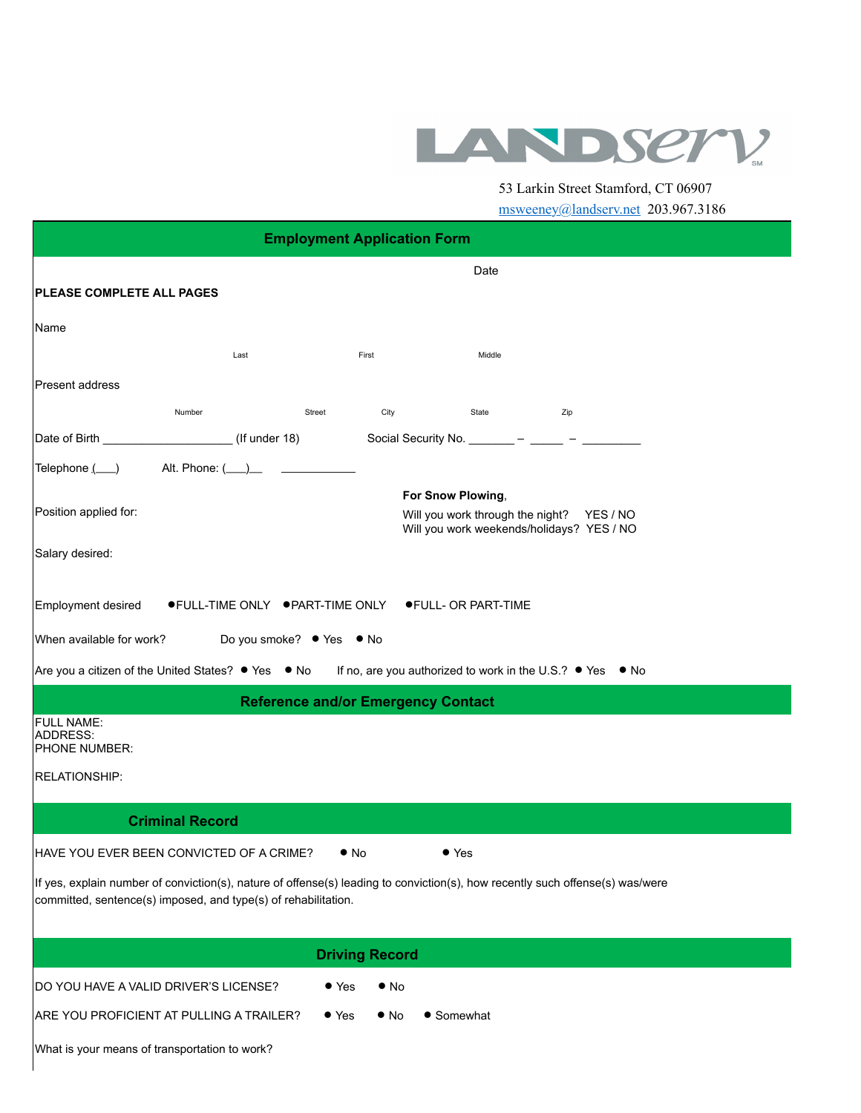

53 Larkin Street Stamford, CT 06907

| msweeney@landserv.net 203.967.3186 |  |
|------------------------------------|--|
|------------------------------------|--|

| <b>Employment Application Form</b>                                                                                            |                                                        |                                           |                    |                                                           |  |
|-------------------------------------------------------------------------------------------------------------------------------|--------------------------------------------------------|-------------------------------------------|--------------------|-----------------------------------------------------------|--|
|                                                                                                                               |                                                        |                                           | Date               |                                                           |  |
| PLEASE COMPLETE ALL PAGES                                                                                                     |                                                        |                                           |                    |                                                           |  |
| Name                                                                                                                          |                                                        |                                           |                    |                                                           |  |
|                                                                                                                               | Last                                                   | First                                     | Middle             |                                                           |  |
| Present address                                                                                                               |                                                        |                                           |                    |                                                           |  |
|                                                                                                                               | Number                                                 | City<br>Street                            | <b>State State</b> | Zip                                                       |  |
|                                                                                                                               |                                                        |                                           |                    | Social Security No. ________ - _____ - ______ -           |  |
| Telephone $(\_\ )$ Alt. Phone: $(\_\ )$                                                                                       |                                                        |                                           |                    |                                                           |  |
| Position applied for:                                                                                                         |                                                        |                                           | For Snow Plowing,  | Will you work through the night? YES / NO                 |  |
|                                                                                                                               |                                                        |                                           |                    | Will you work weekends/holidays? YES / NO                 |  |
| Salary desired:                                                                                                               |                                                        |                                           |                    |                                                           |  |
| Employment desired                                                                                                            | ● FULL-TIME ONLY ● PART-TIME ONLY ● FULL- OR PART-TIME |                                           |                    |                                                           |  |
| When available for work?                                                                                                      |                                                        | Do you smoke? ● Yes ● No                  |                    |                                                           |  |
|                                                                                                                               | Are you a citizen of the United States? ● Yes ● No     |                                           |                    | If no, are you authorized to work in the U.S.? • Yes • No |  |
|                                                                                                                               |                                                        | <b>Reference and/or Emergency Contact</b> |                    |                                                           |  |
| <b>FULL NAME:</b><br>ADDRESS:                                                                                                 |                                                        |                                           |                    |                                                           |  |
| PHONE NUMBER:                                                                                                                 |                                                        |                                           |                    |                                                           |  |
| RELATIONSHIP:                                                                                                                 |                                                        |                                           |                    |                                                           |  |
|                                                                                                                               | <b>Criminal Record</b>                                 |                                           |                    |                                                           |  |
|                                                                                                                               | HAVE YOU EVER BEEN CONVICTED OF A CRIME?               | $\bullet$ No                              | $\bullet$ Yes      |                                                           |  |
| If yes, explain number of conviction(s), nature of offense(s) leading to conviction(s), how recently such offense(s) was/were |                                                        |                                           |                    |                                                           |  |
| committed, sentence(s) imposed, and type(s) of rehabilitation.                                                                |                                                        |                                           |                    |                                                           |  |
|                                                                                                                               |                                                        |                                           |                    |                                                           |  |
|                                                                                                                               |                                                        | <b>Driving Record</b>                     |                    |                                                           |  |
| DO YOU HAVE A VALID DRIVER'S LICENSE?                                                                                         |                                                        | $\bullet$ Yes<br>$\bullet$ No             |                    |                                                           |  |
|                                                                                                                               | ARE YOU PROFICIENT AT PULLING A TRAILER?               | $\bullet$ Yes<br>$\bullet$ No             | • Somewhat         |                                                           |  |
| What is your means of transportation to work?                                                                                 |                                                        |                                           |                    |                                                           |  |